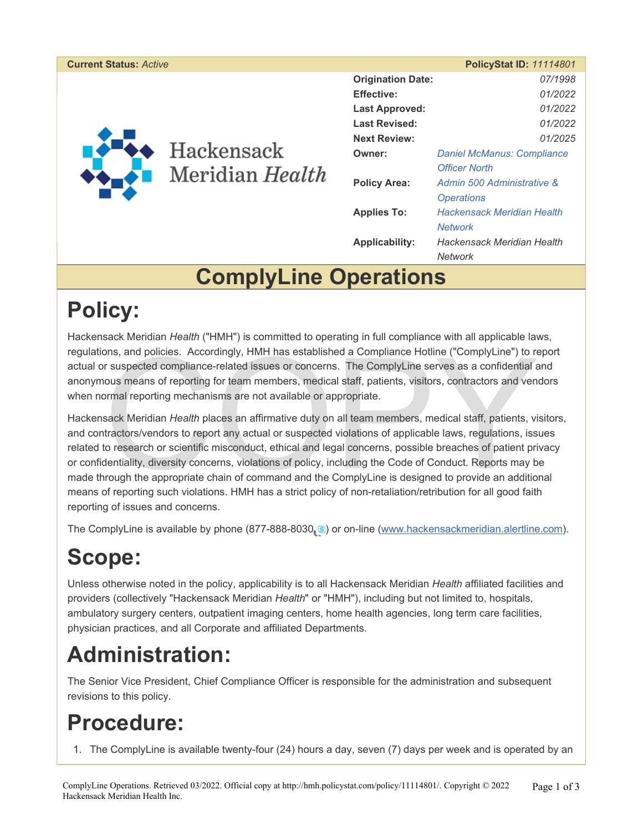<span id="page-0-0"></span>

| <b>Current Status: Active</b> |                                 |                          | <b>PolicyStat ID: 11114801</b>    |
|-------------------------------|---------------------------------|--------------------------|-----------------------------------|
|                               | ◆ Hackensack<br>Meridian Health | <b>Origination Date:</b> | 07/1998                           |
|                               |                                 | <b>Effective:</b>        | 01/2022                           |
|                               |                                 | <b>Last Approved:</b>    | 01/2022                           |
|                               |                                 | <b>Last Revised:</b>     | 01/2022                           |
|                               |                                 | <b>Next Review:</b>      | 01/2025                           |
|                               |                                 | Owner:                   | <b>Daniel McManus: Compliance</b> |
|                               |                                 |                          | <b>Officer North</b>              |
|                               |                                 | <b>Policy Area:</b>      | Admin 500 Administrative &        |
|                               |                                 |                          | <b>Operations</b>                 |
|                               |                                 | <b>Applies To:</b>       | <b>Hackensack Meridian Health</b> |
|                               |                                 |                          | <b>Network</b>                    |
|                               |                                 | <b>Applicability:</b>    | <b>Hackensack Meridian Health</b> |
|                               |                                 |                          | <b>Network</b>                    |

### **ComplyLine Operations**

### **Policy:**

Hackensack Meridian *Health* ("HMH") is committed to operating in full compliance with all applicable laws, regulations, and policies. Accordingly, HMH has established a Compliance Hotline ("ComplyLine") to report actual or suspected compliance-related issues or concerns. The ComplyLine serves as a confidential and anonymous means of reporting for team members, medical staff, patients, visitors, contractors and vendors when normal reporting mechanisms are not available or appropriate.

ons, and policies. Accordingly, HMH has established a Compliance Hotline ("ComplyLine") to re suspected compliance-related issues or concerns. The ComplyLine serves as a confidential a ous means of reporting for team membe Hackensack Meridian *Health* places an affirmative duty on all team members, medical staff, patients, visitors, and contractors/vendors to report any actual or suspected violations of applicable laws, regulations, issues related to research or scientific misconduct, ethical and legal concerns, possible breaches of patient privacy or confidentiality, diversity concerns, violations of policy, including the Code of Conduct. Reports may be made through the appropriate chain of command and the ComplyLine is designed to provide an additional means of reporting such violations. HMH has a strict policy of non-retaliation/retribution for all good faith reporting of issues and concerns.

The ComplyLine is available by phone (877-888-8030 S[\)](#page-0-0) or on-line [\(www.hackensackmeridian.alertline.com](http://www.hackensackmeridian.alertline.com/)).

# **Scope:**

Unless otherwise noted in the policy, applicability is to all Hackensack Meridian *Health* affiliated facilities and providers (collectively "Hackensack Meridian *Health*" or "HMH"), including but not limited to, hospitals, ambulatory surgery centers, outpatient imaging centers, home health agencies, long term care facilities, physician practices, and all Corporate and affiliated Departments.

## **Administration:**

The Senior Vice President, Chief Compliance Officer is responsible for the administration and subsequent revisions to this policy.

### **Procedure:**

1. The ComplyLine is available twenty-four (24) hours a day, seven (7) days per week and is operated by an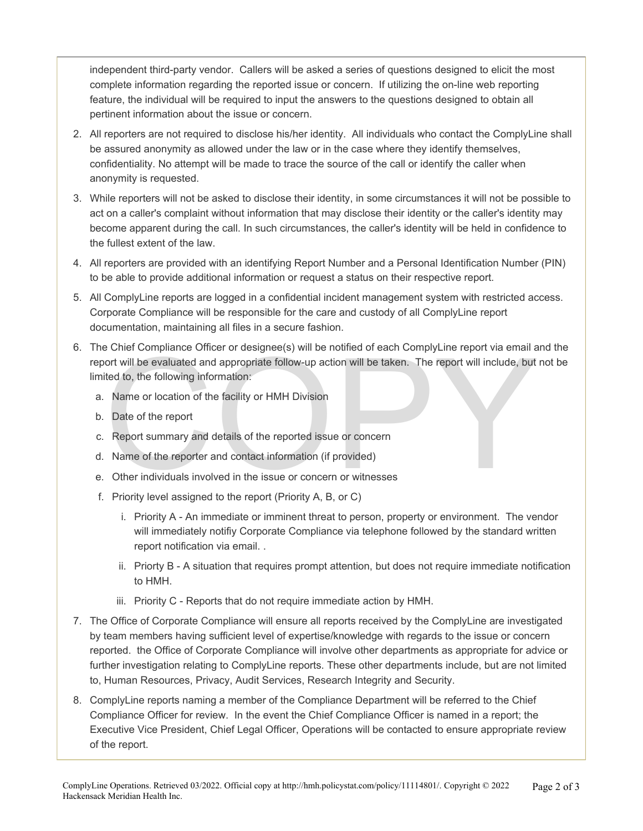independent third-party vendor. Callers will be asked a series of questions designed to elicit the most complete information regarding the reported issue or concern. If utilizing the on-line web reporting feature, the individual will be required to input the answers to the questions designed to obtain all pertinent information about the issue or concern.

- 2. All reporters are not required to disclose his/her identity. All individuals who contact the ComplyLine shall be assured anonymity as allowed under the law or in the case where they identify themselves, confidentiality. No attempt will be made to trace the source of the call or identify the caller when anonymity is requested.
- 3. While reporters will not be asked to disclose their identity, in some circumstances it will not be possible to act on a caller's complaint without information that may disclose their identity or the caller's identity may become apparent during the call. In such circumstances, the caller's identity will be held in confidence to the fullest extent of the law.
- 4. All reporters are provided with an identifying Report Number and a Personal Identification Number (PIN) to be able to provide additional information or request a status on their respective report.
- 5. All ComplyLine reports are logged in a confidential incident management system with restricted access. Corporate Compliance will be responsible for the care and custody of all ComplyLine report documentation, maintaining all files in a secure fashion.
- e Chief Compliance Officer or designee(s) will be notified of each ComplyLine report via email and ort will be evaluated and appropriate follow-up action will be taken. The report will include, but<br>tied to, the following i 6. The Chief Compliance Officer or designee(s) will be notified of each ComplyLine report via email and the report will be evaluated and appropriate follow-up action will be taken. The report will include, but not be limited to, the following information:
	- a. Name or location of the facility or HMH Division
	- b. Date of the report
	- c. Report summary and details of the reported issue or concern
	- d. Name of the reporter and contact information (if provided)
	- e. Other individuals involved in the issue or concern or witnesses
	- f. Priority level assigned to the report (Priority A, B, or C)
		- i. Priority A An immediate or imminent threat to person, property or environment. The vendor will immediately notifiy Corporate Compliance via telephone followed by the standard written report notification via email. .
		- ii. Priorty B A situation that requires prompt attention, but does not require immediate notification to HMH.
		- iii. Priority C Reports that do not require immediate action by HMH.
- 7. The Office of Corporate Compliance will ensure all reports received by the ComplyLine are investigated by team members having sufficient level of expertise/knowledge with regards to the issue or concern reported. the Office of Corporate Compliance will involve other departments as appropriate for advice or further investigation relating to ComplyLine reports. These other departments include, but are not limited to, Human Resources, Privacy, Audit Services, Research Integrity and Security.
- 8. ComplyLine reports naming a member of the Compliance Department will be referred to the Chief Compliance Officer for review. In the event the Chief Compliance Officer is named in a report; the Executive Vice President, Chief Legal Officer, Operations will be contacted to ensure appropriate review of the report.